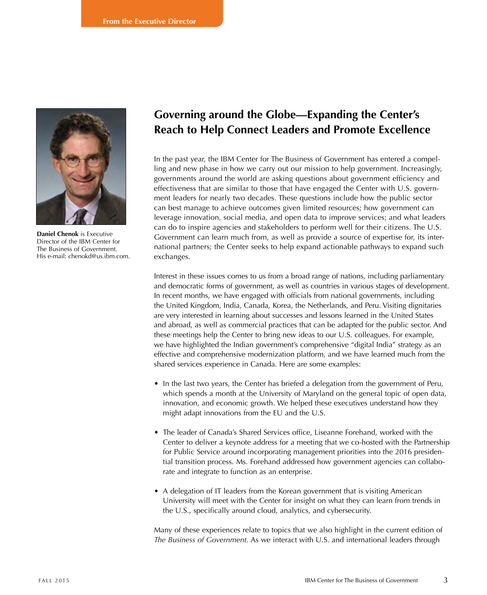

**Daniel Chenok** is Executive Director of the IBM Center for The Business of Government. His e-mail: chenokd@us.ibm.com.

## **Governing around the Globe—Expanding the Center's Reach to Help Connect Leaders and Promote Excellence**

In the past year, the IBM Center for The Business of Government has entered a compelling and new phase in how we carry out our mission to help government. Increasingly, governments around the world are asking questions about government efficiency and effectiveness that are similar to those that have engaged the Center with U.S. government leaders for nearly two decades. These questions include how the public sector can best manage to achieve outcomes given limited resources; how government can leverage innovation, social media, and open data to improve services; and what leaders can do to inspire agencies and stakeholders to perform well for their citizens. The U.S. Government can learn much from, as well as provide a source of expertise for, its international partners; the Center seeks to help expand actionable pathways to expand such exchanges.

Interest in these issues comes to us from a broad range of nations, including parliamentary and democratic forms of government, as well as countries in various stages of development. In recent months, we have engaged with officials from national governments, including the United Kingdom, India, Canada, Korea, the Netherlands, and Peru. Visiting dignitaries are very interested in learning about successes and lessons learned in the United States and abroad, as well as commercial practices that can be adapted for the public sector. And these meetings help the Center to bring new ideas to our U.S. colleagues. For example, we have highlighted the Indian government's comprehensive "digital India" strategy as an effective and comprehensive modernization platform, and we have learned much from the shared services experience in Canada. Here are some examples:

- In the last two years, the Center has briefed a delegation from the government of Peru, which spends a month at the University of Maryland on the general topic of open data, innovation, and economic growth. We helped these executives understand how they might adapt innovations from the EU and the U.S.
- The leader of Canada's Shared Services office, Liseanne Forehand, worked with the Center to deliver a keynote address for a meeting that we co-hosted with the Partnership for Public Service around incorporating management priorities into the 2016 presidential transition process. Ms. Forehand addressed how government agencies can collaborate and integrate to function as an enterprise.
- A delegation of IT leaders from the Korean government that is visiting American University will meet with the Center for insight on what they can learn from trends in the U.S., specifically around cloud, analytics, and cybersecurity.

Many of these experiences relate to topics that we also highlight in the current edition of *The Business of Government.* As we interact with U.S. and international leaders through